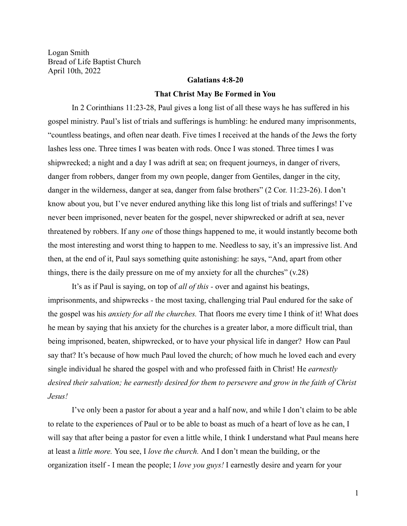Logan Smith Bread of Life Baptist Church April 10th, 2022

## **Galatians 4:8-20**

## **That Christ May Be Formed in You**

In 2 Corinthians 11:23-28, Paul gives a long list of all these ways he has suffered in his gospel ministry. Paul's list of trials and sufferings is humbling: he endured many imprisonments, "countless beatings, and often near death. Five times I received at the hands of the Jews the forty lashes less one. Three times I was beaten with rods. Once I was stoned. Three times I was shipwrecked; a night and a day I was adrift at sea; on frequent journeys, in danger of rivers, danger from robbers, danger from my own people, danger from Gentiles, danger in the city, danger in the wilderness, danger at sea, danger from false brothers" (2 Cor. 11:23-26). I don't know about you, but I've never endured anything like this long list of trials and sufferings! I've never been imprisoned, never beaten for the gospel, never shipwrecked or adrift at sea, never threatened by robbers. If any *one* of those things happened to me, it would instantly become both the most interesting and worst thing to happen to me. Needless to say, it's an impressive list. And then, at the end of it, Paul says something quite astonishing: he says, "And, apart from other things, there is the daily pressure on me of my anxiety for all the churches"  $(v.28)$ 

It's as if Paul is saying, on top of *all of this -* over and against his beatings, imprisonments, and shipwrecks *-* the most taxing, challenging trial Paul endured for the sake of the gospel was his *anxiety for all the churches.* That floors me every time I think of it! What does he mean by saying that his anxiety for the churches is a greater labor, a more difficult trial, than being imprisoned, beaten, shipwrecked, or to have your physical life in danger? How can Paul say that? It's because of how much Paul loved the church; of how much he loved each and every single individual he shared the gospel with and who professed faith in Christ! He *earnestly desired their salvation; he earnestly desired for them to persevere and grow in the faith of Christ Jesus!*

I've only been a pastor for about a year and a half now, and while I don't claim to be able to relate to the experiences of Paul or to be able to boast as much of a heart of love as he can, I will say that after being a pastor for even a little while, I think I understand what Paul means here at least a *little more.* You see, I *love the church.* And I don't mean the building, or the organization itself - I mean the people; I *love you guys!* I earnestly desire and yearn for your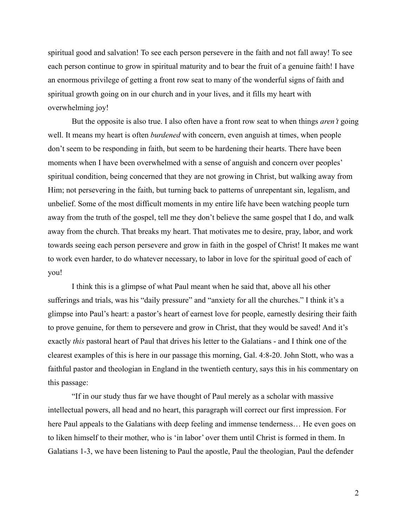spiritual good and salvation! To see each person persevere in the faith and not fall away! To see each person continue to grow in spiritual maturity and to bear the fruit of a genuine faith! I have an enormous privilege of getting a front row seat to many of the wonderful signs of faith and spiritual growth going on in our church and in your lives, and it fills my heart with overwhelming joy!

But the opposite is also true. I also often have a front row seat to when things *aren't* going well. It means my heart is often *burdened* with concern, even anguish at times, when people don't seem to be responding in faith, but seem to be hardening their hearts. There have been moments when I have been overwhelmed with a sense of anguish and concern over peoples' spiritual condition, being concerned that they are not growing in Christ, but walking away from Him; not persevering in the faith, but turning back to patterns of unrepentant sin, legalism, and unbelief. Some of the most difficult moments in my entire life have been watching people turn away from the truth of the gospel, tell me they don't believe the same gospel that I do, and walk away from the church. That breaks my heart. That motivates me to desire, pray, labor, and work towards seeing each person persevere and grow in faith in the gospel of Christ! It makes me want to work even harder, to do whatever necessary, to labor in love for the spiritual good of each of you!

I think this is a glimpse of what Paul meant when he said that, above all his other sufferings and trials, was his "daily pressure" and "anxiety for all the churches." I think it's a glimpse into Paul's heart: a pastor's heart of earnest love for people, earnestly desiring their faith to prove genuine, for them to persevere and grow in Christ, that they would be saved! And it's exactly *this* pastoral heart of Paul that drives his letter to the Galatians - and I think one of the clearest examples of this is here in our passage this morning, Gal. 4:8-20. John Stott, who was a faithful pastor and theologian in England in the twentieth century, says this in his commentary on this passage:

"If in our study thus far we have thought of Paul merely as a scholar with massive intellectual powers, all head and no heart, this paragraph will correct our first impression. For here Paul appeals to the Galatians with deep feeling and immense tenderness... He even goes on to liken himself to their mother, who is 'in labor' over them until Christ is formed in them. In Galatians 1-3, we have been listening to Paul the apostle, Paul the theologian, Paul the defender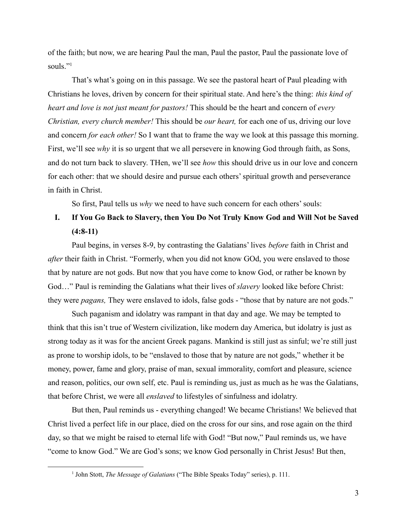of the faith; but now, we are hearing Paul the man, Paul the pastor, Paul the passionate love of souls."<sup>1</sup>

That's what's going on in this passage. We see the pastoral heart of Paul pleading with Christians he loves, driven by concern for their spiritual state. And here's the thing: *this kind of heart and love is not just meant for pastors!* This should be the heart and concern of *every Christian, every church member!* This should be *our heart,* for each one of us, driving our love and concern *for each other!* So I want that to frame the way we look at this passage this morning. First, we'll see *why* it is so urgent that we all persevere in knowing God through faith, as Sons, and do not turn back to slavery. THen, we'll see *how* this should drive us in our love and concern for each other: that we should desire and pursue each others' spiritual growth and perseverance in faith in Christ.

So first, Paul tells us *why* we need to have such concern for each others' souls:

## **I. If You Go Back to Slavery, then You Do Not Truly Know God and Will Not be Saved (4:8-11)**

Paul begins, in verses 8-9, by contrasting the Galatians' lives *before* faith in Christ and *after* their faith in Christ. "Formerly, when you did not know GOd, you were enslaved to those that by nature are not gods. But now that you have come to know God, or rather be known by God…" Paul is reminding the Galatians what their lives of *slavery* looked like before Christ: they were *pagans,* They were enslaved to idols, false gods - "those that by nature are not gods."

Such paganism and idolatry was rampant in that day and age. We may be tempted to think that this isn't true of Western civilization, like modern day America, but idolatry is just as strong today as it was for the ancient Greek pagans. Mankind is still just as sinful; we're still just as prone to worship idols, to be "enslaved to those that by nature are not gods," whether it be money, power, fame and glory, praise of man, sexual immorality, comfort and pleasure, science and reason, politics, our own self, etc. Paul is reminding us, just as much as he was the Galatians, that before Christ, we were all *enslaved* to lifestyles of sinfulness and idolatry.

But then, Paul reminds us - everything changed! We became Christians! We believed that Christ lived a perfect life in our place, died on the cross for our sins, and rose again on the third day, so that we might be raised to eternal life with God! "But now," Paul reminds us, we have "come to know God." We are God's sons; we know God personally in Christ Jesus! But then,

<sup>1</sup> John Stott, *The Message of Galatians* ("The Bible Speaks Today" series), p. 111.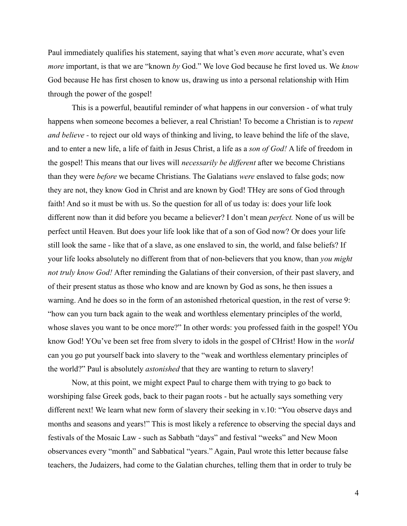Paul immediately qualifies his statement, saying that what's even *more* accurate, what's even *more* important, is that we are "known *by* God." We love God because he first loved us. We *know* God because He has first chosen to know us, drawing us into a personal relationship with Him through the power of the gospel!

This is a powerful, beautiful reminder of what happens in our conversion - of what truly happens when someone becomes a believer, a real Christian! To become a Christian is to *repent and believe -* to reject our old ways of thinking and living, to leave behind the life of the slave, and to enter a new life, a life of faith in Jesus Christ, a life as a *son of God!* A life of freedom in the gospel! This means that our lives will *necessarily be different* after we become Christians than they were *before* we became Christians. The Galatians *were* enslaved to false gods; now they are not, they know God in Christ and are known by God! THey are sons of God through faith! And so it must be with us. So the question for all of us today is: does your life look different now than it did before you became a believer? I don't mean *perfect.* None of us will be perfect until Heaven. But does your life look like that of a son of God now? Or does your life still look the same - like that of a slave, as one enslaved to sin, the world, and false beliefs? If your life looks absolutely no different from that of non-believers that you know, than *you might not truly know God!* After reminding the Galatians of their conversion, of their past slavery, and of their present status as those who know and are known by God as sons, he then issues a warning. And he does so in the form of an astonished rhetorical question, in the rest of verse 9: "how can you turn back again to the weak and worthless elementary principles of the world, whose slaves you want to be once more?" In other words: you professed faith in the gospel! YOu know God! YOu've been set free from slvery to idols in the gospel of CHrist! How in the *world* can you go put yourself back into slavery to the "weak and worthless elementary principles of the world?" Paul is absolutely *astonished* that they are wanting to return to slavery!

Now, at this point, we might expect Paul to charge them with trying to go back to worshiping false Greek gods, back to their pagan roots - but he actually says something very different next! We learn what new form of slavery their seeking in v.10: "You observe days and months and seasons and years!" This is most likely a reference to observing the special days and festivals of the Mosaic Law - such as Sabbath "days" and festival "weeks" and New Moon observances every "month" and Sabbatical "years." Again, Paul wrote this letter because false teachers, the Judaizers, had come to the Galatian churches, telling them that in order to truly be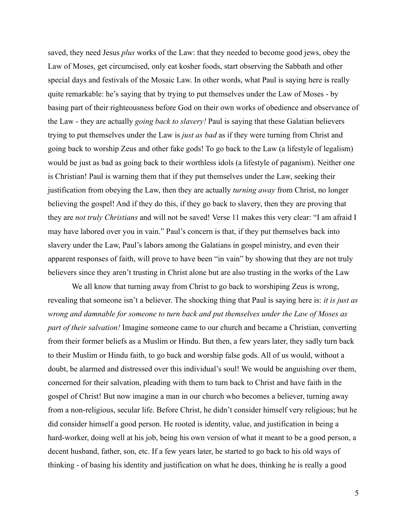saved, they need Jesus *plus* works of the Law: that they needed to become good jews, obey the Law of Moses, get circumcised, only eat kosher foods, start observing the Sabbath and other special days and festivals of the Mosaic Law. In other words, what Paul is saying here is really quite remarkable: he's saying that by trying to put themselves under the Law of Moses - by basing part of their righteousness before God on their own works of obedience and observance of the Law - they are actually *going back to slavery!* Paul is saying that these Galatian believers trying to put themselves under the Law is *just as bad* as if they were turning from Christ and going back to worship Zeus and other fake gods! To go back to the Law (a lifestyle of legalism) would be just as bad as going back to their worthless idols (a lifestyle of paganism). Neither one is Christian! Paul is warning them that if they put themselves under the Law, seeking their justification from obeying the Law, then they are actually *turning away* from Christ, no longer believing the gospel! And if they do this, if they go back to slavery, then they are proving that they are *not truly Christians* and will not be saved! Verse 11 makes this very clear: "I am afraid I may have labored over you in vain." Paul's concern is that, if they put themselves back into slavery under the Law, Paul's labors among the Galatians in gospel ministry, and even their apparent responses of faith, will prove to have been "in vain" by showing that they are not truly believers since they aren't trusting in Christ alone but are also trusting in the works of the Law

We all know that turning away from Christ to go back to worshiping Zeus is wrong, revealing that someone isn't a believer. The shocking thing that Paul is saying here is: *it is just as wrong and damnable for someone to turn back and put themselves under the Law of Moses as part of their salvation!* Imagine someone came to our church and became a Christian, converting from their former beliefs as a Muslim or Hindu. But then, a few years later, they sadly turn back to their Muslim or Hindu faith, to go back and worship false gods. All of us would, without a doubt, be alarmed and distressed over this individual's soul! We would be anguishing over them, concerned for their salvation, pleading with them to turn back to Christ and have faith in the gospel of Christ! But now imagine a man in our church who becomes a believer, turning away from a non-religious, secular life. Before Christ, he didn't consider himself very religious; but he did consider himself a good person. He rooted is identity, value, and justification in being a hard-worker, doing well at his job, being his own version of what it meant to be a good person, a decent husband, father, son, etc. If a few years later, he started to go back to his old ways of thinking - of basing his identity and justification on what he does, thinking he is really a good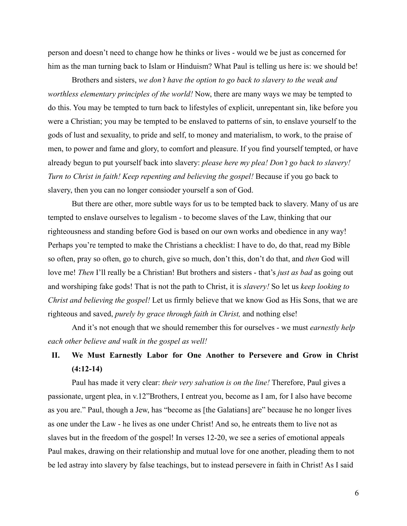person and doesn't need to change how he thinks or lives - would we be just as concerned for him as the man turning back to Islam or Hinduism? What Paul is telling us here is: we should be!

Brothers and sisters, *we don't have the option to go back to slavery to the weak and worthless elementary principles of the world!* Now, there are many ways we may be tempted to do this. You may be tempted to turn back to lifestyles of explicit, unrepentant sin, like before you were a Christian; you may be tempted to be enslaved to patterns of sin, to enslave yourself to the gods of lust and sexuality, to pride and self, to money and materialism, to work, to the praise of men, to power and fame and glory, to comfort and pleasure. If you find yourself tempted, or have already begun to put yourself back into slavery: *please here my plea! Don't go back to slavery! Turn to Christ in faith! Keep repenting and believing the gospel!* Because if you go back to slavery, then you can no longer consioder yourself a son of God.

But there are other, more subtle ways for us to be tempted back to slavery. Many of us are tempted to enslave ourselves to legalism - to become slaves of the Law, thinking that our righteousness and standing before God is based on our own works and obedience in any way! Perhaps you're tempted to make the Christians a checklist: I have to do, do that, read my Bible so often, pray so often, go to church, give so much, don't this, don't do that, and *then* God will love me! *Then* I'll really be a Christian! But brothers and sisters - that's *just as bad* as going out and worshiping fake gods! That is not the path to Christ, it is *slavery!* So let us *keep looking to Christ and believing the gospel!* Let us firmly believe that we know God as His Sons, that we are righteous and saved, *purely by grace through faith in Christ,* and nothing else!

And it's not enough that we should remember this for ourselves - we must *earnestly help each other believe and walk in the gospel as well!*

## **II. We Must Earnestly Labor for One Another to Persevere and Grow in Christ (4:12-14)**

Paul has made it very clear: *their very salvation is on the line!* Therefore, Paul gives a passionate, urgent plea, in v.12"Brothers, I entreat you, become as I am, for I also have become as you are." Paul, though a Jew, has "become as [the Galatians] are" because he no longer lives as one under the Law - he lives as one under Christ! And so, he entreats them to live not as slaves but in the freedom of the gospel! In verses 12-20, we see a series of emotional appeals Paul makes, drawing on their relationship and mutual love for one another, pleading them to not be led astray into slavery by false teachings, but to instead persevere in faith in Christ! As I said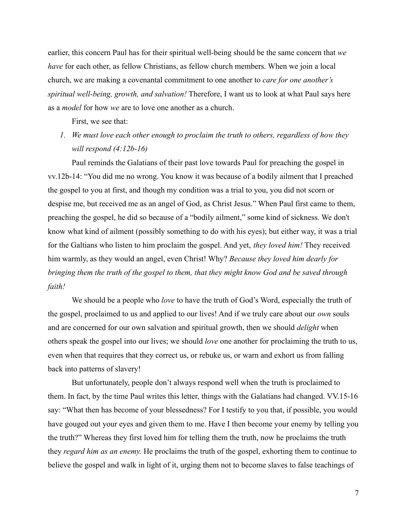earlier, this concern Paul has for their spiritual well-being should be the same concern that *we have* for each other, as fellow Christians, as fellow church members. When we join a local church, we are making a covenantal commitment to one another to *care for one another's spiritual well-being, growth, and salvation!* Therefore, I want us to look at what Paul says here as a *model* for how *we* are to love one another as a church.

First, we see that:

*1. We must love each other enough to proclaim the truth to others, regardless of how they will respond (4:12b-16)*

Paul reminds the Galatians of their past love towards Paul for preaching the gospel in vv.12b-14: "You did me no wrong. You know it was because of a bodily ailment that I preached the gospel to you at first, and though my condition was a trial to you, you did not scorn or despise me, but received me as an angel of God, as Christ Jesus." When Paul first came to them, preaching the gospel, he did so because of a "bodily ailment," some kind of sickness. We don't know what kind of ailment (possibly something to do with his eyes); but either way, it was a trial for the Galtians who listen to him proclaim the gospel. And yet, *they loved him!* They received him warmly, as they would an angel, even Christ! Why? *Because they loved him dearly for bringing them the truth of the gospel to them, that they might know God and be saved through faith!*

We should be a people who *love* to have the truth of God's Word, especially the truth of the gospel, proclaimed to us and applied to our lives! And if we truly care about our *own* souls and are concerned for our own salvation and spiritual growth, then we should *delight* when others speak the gospel into our lives; we should *love* one another for proclaiming the truth to us, even when that requires that they correct us, or rebuke us, or warn and exhort us from falling back into patterns of slavery!

But unfortunately, people don't always respond well when the truth is proclaimed to them. In fact, by the time Paul writes this letter, things with the Galatians had changed. VV.15-16 say: "What then has become of your blessedness? For I testify to you that, if possible, you would have gouged out your eyes and given them to me. Have I then become your enemy by telling you the truth?" Whereas they first loved him for telling them the truth, now he proclaims the truth they *regard him as an enemy.* He proclaims the truth of the gospel, exhorting them to continue to believe the gospel and walk in light of it, urging them not to become slaves to false teachings of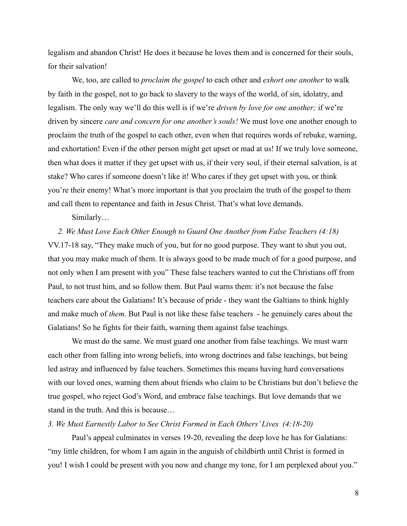legalism and abandon Christ! He does it because he loves them and is concerned for their souls, for their salvation!

We, too, are called to *proclaim the gospel* to each other and *exhort one another* to walk by faith in the gospel, not to go back to slavery to the ways of the world, of sin, idolatry, and legalism. The only way we'll do this well is if we're *driven by love for one another;* if we're driven by sincere *care and concern for one another's souls!* We must love one another enough to proclaim the truth of the gospel to each other, even when that requires words of rebuke, warning, and exhortation! Even if the other person might get upset or mad at us! If we truly love someone, then what does it matter if they get upset with us, if their very soul, if their eternal salvation, is at stake? Who cares if someone doesn't like it! Who cares if they get upset with you, or think you're their enemy! What's more important is that you proclaim the truth of the gospel to them and call them to repentance and faith in Jesus Christ. That's what love demands.

Similarly…

*2. We Must Love Each Other Enough to Guard One Another from False Teachers (4:18)* VV.17-18 say, "They make much of you, but for no good purpose. They want to shut you out, that you may make much of them. It is always good to be made much of for a good purpose, and not only when I am present with you" These false teachers wanted to cut the Christians off from Paul, to not trust him, and so follow them. But Paul warns them: it's not because the false teachers care about the Galatians! It's because of pride - they want the Galtians to think highly and make much of *them.* But Paul is not like these false teachers - he genuinely cares about the Galatians! So he fights for their faith, warning them against false teachings.

We must do the same. We must guard one another from false teachings. We must warn each other from falling into wrong beliefs, into wrong doctrines and false teachings, but being led astray and influenced by false teachers. Sometimes this means having hard conversations with our loved ones, warning them about friends who claim to be Christians but don't believe the true gospel, who reject God's Word, and embrace false teachings. But love demands that we stand in the truth. And this is because…

*3. We Must Earnestly Labor to See Christ Formed in Each Others' Lives (4:18-20)*

Paul's appeal culminates in verses 19-20, revealing the deep love he has for Galatians: "my little children, for whom I am again in the anguish of childbirth until Christ is formed in you! I wish I could be present with you now and change my tone, for I am perplexed about you."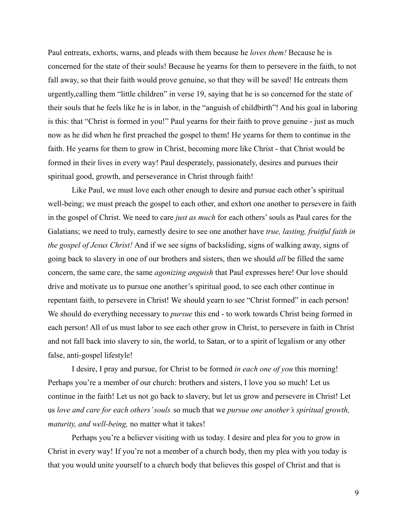Paul entreats, exhorts, warns, and pleads with them because he *loves them!* Because he is concerned for the state of their souls! Because he yearns for them to persevere in the faith, to not fall away, so that their faith would prove genuine, so that they will be saved! He entreats them urgently,calling them "little children" in verse 19, saying that he is so concerned for the state of their souls that he feels like he is in labor, in the "anguish of childbirth"! And his goal in laboring is this: that "Christ is formed in you!" Paul yearns for their faith to prove genuine - just as much now as he did when he first preached the gospel to them! He yearns for them to continue in the faith. He yearns for them to grow in Christ, becoming more like Christ - that Christ would be formed in their lives in every way! Paul desperately, passionately, desires and pursues their spiritual good, growth, and perseverance in Christ through faith!

Like Paul, we must love each other enough to desire and pursue each other's spiritual well-being; we must preach the gospel to each other, and exhort one another to persevere in faith in the gospel of Christ. We need to care *just as much* for each others' souls as Paul cares for the Galatians; we need to truly, earnestly desire to see one another have *true, lasting, fruitful faith in the gospel of Jesus Christ!* And if we see signs of backsliding, signs of walking away, signs of going back to slavery in one of our brothers and sisters, then we should *all* be filled the same concern, the same care, the same *agonizing anguish* that Paul expresses here! Our love should drive and motivate us to pursue one another's spiritual good, to see each other continue in repentant faith, to persevere in Christ! We should yearn to see "Christ formed" in each person! We should do everything necessary to *pursue* this end - to work towards Christ being formed in each person! All of us must labor to see each other grow in Christ, to persevere in faith in Christ and not fall back into slavery to sin, the world, to Satan, or to a spirit of legalism or any other false, anti-gospel lifestyle!

I desire, I pray and pursue, for Christ to be formed *in each one of you* this morning! Perhaps you're a member of our church: brothers and sisters, I love you so much! Let us continue in the faith! Let us not go back to slavery, but let us grow and persevere in Christ! Let us *love and care for each others' souls* so much that we *pursue one another's spiritual growth, maturity, and well-being,* no matter what it takes!

Perhaps you're a believer visiting with us today. I desire and plea for you to grow in Christ in every way! If you're not a member of a church body, then my plea with you today is that you would unite yourself to a church body that believes this gospel of Christ and that is